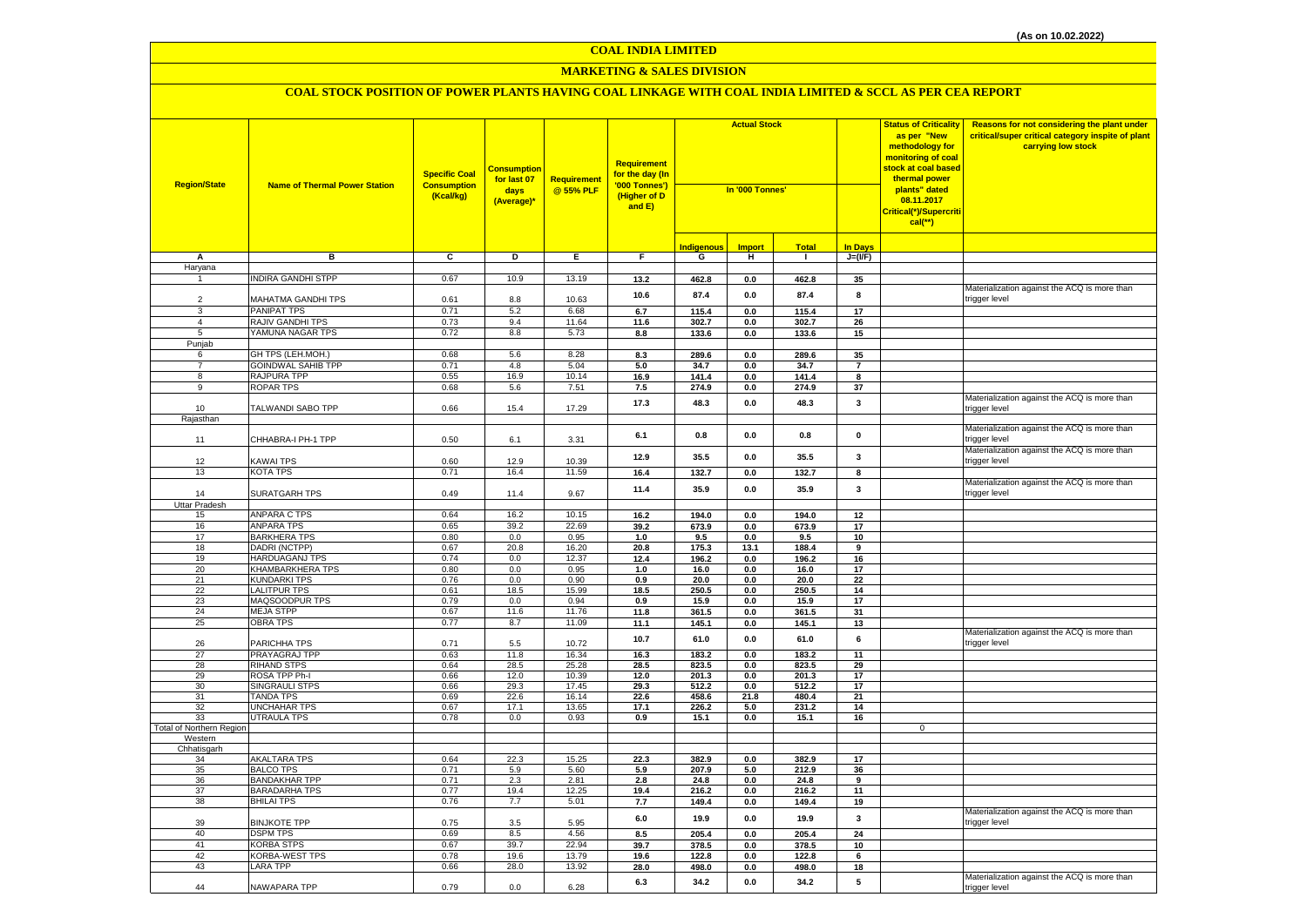## **MARKETING & SALES DIVISION**

| <b>Region/State</b>      | <b>Name of Thermal Power Station</b>     | <b>Specific Coal</b><br><b>Consumption</b><br>(Kcal/kg) | <mark>Consumption</mark><br>for last 07<br>days<br>(Average)* | Requirement<br>@ 55% PLF | <b>Requirement</b><br>for the day (In<br>'000 Tonnes')<br>(Higher of D<br>and E) | <b>Actual Stock</b><br>In '000 Tonnes' |               |                |                         | <b>Status of Criticality</b><br>as per "New<br>methodology for<br>monitoring of coal<br>stock at coal based<br>thermal power<br>plants" dated<br>08.11.2017<br>Critical(*)/Supercriti<br>$cal$ (**) | Reasons for not considering the plant under<br>critical/super critical category inspite of plant<br>carrying low stock |
|--------------------------|------------------------------------------|---------------------------------------------------------|---------------------------------------------------------------|--------------------------|----------------------------------------------------------------------------------|----------------------------------------|---------------|----------------|-------------------------|-----------------------------------------------------------------------------------------------------------------------------------------------------------------------------------------------------|------------------------------------------------------------------------------------------------------------------------|
|                          |                                          |                                                         |                                                               |                          |                                                                                  | <b>Indigenous</b>                      | <b>Import</b> | <b>Total</b>   | <b>In Days</b>          |                                                                                                                                                                                                     |                                                                                                                        |
| Α                        | в                                        | c                                                       | Þ                                                             | E                        | F                                                                                | G                                      | н             | $\mathbf{I}$   | $J=(VF)$                |                                                                                                                                                                                                     |                                                                                                                        |
| Haryana                  |                                          |                                                         |                                                               |                          |                                                                                  |                                        |               |                |                         |                                                                                                                                                                                                     |                                                                                                                        |
| $\mathbf{1}$             | INDIRA GANDHI STPP                       | 0.67                                                    | 10.9                                                          | 13.19                    | 13.2                                                                             | 462.8                                  | 0.0           | 462.8          | 35                      |                                                                                                                                                                                                     |                                                                                                                        |
|                          |                                          |                                                         |                                                               |                          | 10.6                                                                             | 87.4                                   | 0.0           | 87.4           | 8                       |                                                                                                                                                                                                     | Materialization against the ACQ is more than                                                                           |
| $\overline{2}$<br>3      | MAHATMA GANDHI TPS<br><b>PANIPAT TPS</b> | 0.61                                                    | 8.8                                                           | 10.63                    | 6.7                                                                              | 115.4                                  | 0.0           | 115.4          | 17                      |                                                                                                                                                                                                     | trigger level                                                                                                          |
| $\overline{4}$           | RAJIV GANDHI TPS                         | 0.71<br>0.73                                            | 5.2<br>9.4                                                    | 6.68<br>11.64            | 11.6                                                                             | 302.7                                  | $0.0\,$       | 302.7          | 26                      |                                                                                                                                                                                                     |                                                                                                                        |
| 5                        | YAMUNA NAGAR TPS                         | 0.72                                                    | 8.8                                                           | 5.73                     | 8.8                                                                              | 133.6                                  | 0.0           | 133.6          | 15                      |                                                                                                                                                                                                     |                                                                                                                        |
| Punjab                   |                                          |                                                         |                                                               |                          |                                                                                  |                                        |               |                |                         |                                                                                                                                                                                                     |                                                                                                                        |
| 6                        | GH TPS (LEH.MOH.)                        | 0.68                                                    | 5.6                                                           | 8.28                     | 8.3                                                                              | 289.6                                  | 0.0           | 289.6          | 35                      |                                                                                                                                                                                                     |                                                                                                                        |
| $\overline{7}$           | <b>GOINDWAL SAHIB TPP</b>                | 0.71                                                    | 4.8                                                           | 5.04                     | 5.0                                                                              | 34.7                                   | 0.0           | 34.7           | $\overline{7}$          |                                                                                                                                                                                                     |                                                                                                                        |
| 8                        | <b>RAJPURA TPP</b>                       | 0.55                                                    | 16.9                                                          | 10.14                    | 16.9                                                                             | 141.4                                  | 0.0           | 141.4          | 8                       |                                                                                                                                                                                                     |                                                                                                                        |
| 9                        | ROPAR TPS                                | 0.68                                                    | 5.6                                                           | 7.51                     | 7.5                                                                              | 274.9                                  | 0.0           | 274.9          | 37                      |                                                                                                                                                                                                     |                                                                                                                        |
| 10                       | TALWANDI SABO TPP                        | 0.66                                                    | 15.4                                                          | 17.29                    | 17.3                                                                             | 48.3                                   | 0.0           | 48.3           | $\mathbf{3}$            |                                                                                                                                                                                                     | Materialization against the ACQ is more than<br>rigger level                                                           |
| Rajasthan                |                                          |                                                         |                                                               |                          |                                                                                  |                                        |               |                |                         |                                                                                                                                                                                                     |                                                                                                                        |
| 11                       | CHHABRA-I PH-1 TPP                       | 0.50                                                    | 6.1                                                           | 3.31                     | 6.1                                                                              | 0.8                                    | 0.0           | 0.8            | $\pmb{0}$               |                                                                                                                                                                                                     | Materialization against the ACQ is more than<br>rigger level                                                           |
| 12                       | KAWAI TPS                                | 0.60                                                    | 12.9                                                          | 10.39                    | 12.9                                                                             | 35.5                                   | 0.0           | 35.5           | $\mathbf{3}$            |                                                                                                                                                                                                     | Materialization against the ACQ is more than<br>rigger level                                                           |
| 13                       | <b>KOTA TPS</b>                          | 0.71                                                    | 16.4                                                          | 11.59                    | 16.4                                                                             | 132.7                                  | $0.0\,$       | 132.7          | 8                       |                                                                                                                                                                                                     |                                                                                                                        |
| 14                       | <b>SURATGARH TPS</b>                     | 0.49                                                    | 11.4                                                          | 9.67                     | 11.4                                                                             | 35.9                                   | 0.0           | 35.9           | 3                       |                                                                                                                                                                                                     | Materialization against the ACQ is more than<br>trigger level                                                          |
| <b>Uttar Pradesh</b>     |                                          |                                                         |                                                               |                          |                                                                                  |                                        |               |                |                         |                                                                                                                                                                                                     |                                                                                                                        |
| 15                       | <b>ANPARA C TPS</b>                      | 0.64                                                    | 16.2                                                          | 10.15                    | 16.2                                                                             | 194.0                                  | 0.0           | 194.0          | 12                      |                                                                                                                                                                                                     |                                                                                                                        |
| 16                       | <b>ANPARA TPS</b>                        | 0.65                                                    | 39.2                                                          | 22.69                    | 39.2                                                                             | 673.9                                  | 0.0           | 673.9          | 17                      |                                                                                                                                                                                                     |                                                                                                                        |
| 17                       | <b>BARKHERA TPS</b>                      | 0.80                                                    | 0.0<br>20.8                                                   | 0.95                     | 1.0                                                                              | 9.5                                    | 0.0           | 9.5            | 10                      |                                                                                                                                                                                                     |                                                                                                                        |
| 18<br>19                 | DADRI (NCTPP)<br>HARDUAGANJ TPS          | 0.67<br>0.74                                            | 0.0                                                           | 16.20<br>12.37           | 20.8<br>12.4                                                                     | 175.3<br>196.2                         | 13.1<br>0.0   | 188.4<br>196.2 | 9<br>16                 |                                                                                                                                                                                                     |                                                                                                                        |
| 20                       | <b>KHAMBARKHERA TPS</b>                  | 0.80                                                    | 0.0                                                           | 0.95                     | $1.0\,$                                                                          | 16.0                                   | $0.0\,$       | 16.0           | 17                      |                                                                                                                                                                                                     |                                                                                                                        |
| 21                       | <b>KUNDARKI TPS</b>                      | 0.76                                                    | 0.0                                                           | 0.90                     | 0.9                                                                              | 20.0                                   | 0.0           | 20.0           | 22                      |                                                                                                                                                                                                     |                                                                                                                        |
| 22                       | <b>LALITPUR TPS</b>                      | 0.61                                                    | 18.5                                                          | 15.99                    | 18.5                                                                             | 250.5                                  | $0.0\,$       | 250.5          | 14                      |                                                                                                                                                                                                     |                                                                                                                        |
| 23                       | MAQSOODPUR TPS                           | 0.79                                                    | 0.0                                                           | 0.94                     | 0.9                                                                              | 15.9                                   | 0.0           | 15.9           | 17                      |                                                                                                                                                                                                     |                                                                                                                        |
| 24                       | <b>MEJA STPP</b>                         | 0.67                                                    | 11.6                                                          | 11.76                    | 11.8                                                                             | 361.5                                  | 0.0           | 361.5          | 31                      |                                                                                                                                                                                                     |                                                                                                                        |
| 25                       | <b>OBRA TPS</b>                          | 0.77                                                    | 8.7                                                           | 11.09                    | 11.1                                                                             | 145.1                                  | 0.0           | 145.1          | 13                      |                                                                                                                                                                                                     |                                                                                                                        |
| 26                       | PARICHHA TPS                             | 0.71                                                    | 5.5                                                           | 10.72                    | 10.7                                                                             | 61.0                                   | 0.0           | 61.0           | 6                       |                                                                                                                                                                                                     | Materialization against the ACQ is more than<br>trigger level                                                          |
| 27                       | PRAYAGRAJ TPP                            | 0.63                                                    | 11.8                                                          | 16.34                    | 16.3                                                                             | 183.2                                  | 0.0           | 183.2          | 11                      |                                                                                                                                                                                                     |                                                                                                                        |
| 28<br>29                 | <b>RIHAND STPS</b><br>ROSA TPP Ph-I      | 0.64<br>0.66                                            | 28.5<br>12.0                                                  | 25.28<br>10.39           | 28.5                                                                             | 823.5                                  | 0.0           | 823.5          | 29                      |                                                                                                                                                                                                     |                                                                                                                        |
| 30                       | SINGRAULI STPS                           | 0.66                                                    | 29.3                                                          | 17.45                    | 12.0<br>29.3                                                                     | 201.3<br>512.2                         | 0.0<br>0.0    | 201.3<br>512.2 | 17<br>17                |                                                                                                                                                                                                     |                                                                                                                        |
| 31                       | <b>TANDA TPS</b>                         | 0.69                                                    | 22.6                                                          | 16.14                    | 22.6                                                                             | 458.6                                  | 21.8          | 480.4          | 21                      |                                                                                                                                                                                                     |                                                                                                                        |
| 32                       | <b>UNCHAHAR TPS</b>                      | 0.67                                                    | 17.1                                                          | 13.65                    | 17.1                                                                             | 226.2                                  | 5.0           | 231.2          | 14                      |                                                                                                                                                                                                     |                                                                                                                        |
| 33                       | <b>UTRAULA TPS</b>                       | 0.78                                                    | 0.0                                                           | 0.93                     | 0.9                                                                              | 15.1                                   | 0.0           | 15.1           | 16                      |                                                                                                                                                                                                     |                                                                                                                        |
| Total of Northern Region |                                          |                                                         |                                                               |                          |                                                                                  |                                        |               |                |                         | 0                                                                                                                                                                                                   |                                                                                                                        |
| Western                  |                                          |                                                         |                                                               |                          |                                                                                  |                                        |               |                |                         |                                                                                                                                                                                                     |                                                                                                                        |
| Chhatisgarh<br>34        | <b>AKALTARA TPS</b>                      | 0.64                                                    | 22.3                                                          | 15.25                    | 22.3                                                                             | 382.9                                  | 0.0           | 382.9          | 17                      |                                                                                                                                                                                                     |                                                                                                                        |
| 35                       | <b>BALCO TPS</b>                         | 0.71                                                    | 5.9                                                           | 5.60                     | 5.9                                                                              | 207.9                                  | 5.0           | 212.9          | 36                      |                                                                                                                                                                                                     |                                                                                                                        |
| 36                       | <b>BANDAKHAR TPP</b>                     | 0.71                                                    | 2.3                                                           | 2.81                     | 2.8                                                                              | 24.8                                   | 0.0           | 24.8           | 9                       |                                                                                                                                                                                                     |                                                                                                                        |
| 37                       | <b>BARADARHA TPS</b>                     | 0.77                                                    | 19.4                                                          | 12.25                    | 19.4                                                                             | 216.2                                  | 0.0           | 216.2          | 11                      |                                                                                                                                                                                                     |                                                                                                                        |
| 38                       | <b>BHILAI TPS</b>                        | 0.76                                                    | 7.7                                                           | 5.01                     | 7.7                                                                              | 149.4                                  | 0.0           | 149.4          | 19                      |                                                                                                                                                                                                     |                                                                                                                        |
| 39                       | <b>BINJKOTE TPP</b>                      | 0.75                                                    | 3.5                                                           | 5.95                     | 6.0                                                                              | 19.9                                   | 0.0           | 19.9           | $\overline{\mathbf{3}}$ |                                                                                                                                                                                                     | Materialization against the ACQ is more than<br>trigger level                                                          |
| 40                       | <b>DSPM TPS</b>                          | 0.69                                                    | 8.5                                                           | 4.56                     | 8.5                                                                              | 205.4                                  | $0.0\,$       | 205.4          | 24                      |                                                                                                                                                                                                     |                                                                                                                        |
| 41                       | KORBA STPS                               | 0.67                                                    | 39.7                                                          | 22.94                    | 39.7                                                                             | 378.5                                  | 0.0           | 378.5          | 10                      |                                                                                                                                                                                                     |                                                                                                                        |
| 42                       | KORBA-WEST TPS                           | 0.78                                                    | 19.6                                                          | 13.79                    | 19.6                                                                             | 122.8                                  | 0.0           | 122.8          | 6                       |                                                                                                                                                                                                     |                                                                                                                        |
| 43                       | <b>LARA TPP</b>                          | 0.66                                                    | 28.0                                                          | 13.92                    | 28.0                                                                             | 498.0                                  | 0.0           | 498.0          | 18                      |                                                                                                                                                                                                     | Materialization against the ACQ is more than                                                                           |
| 44                       | NAWAPARA TPP                             | 0.79                                                    | 0.0                                                           | 6.28                     | 6.3                                                                              | 34.2                                   | 0.0           | 34.2           | 5                       |                                                                                                                                                                                                     | trigger level                                                                                                          |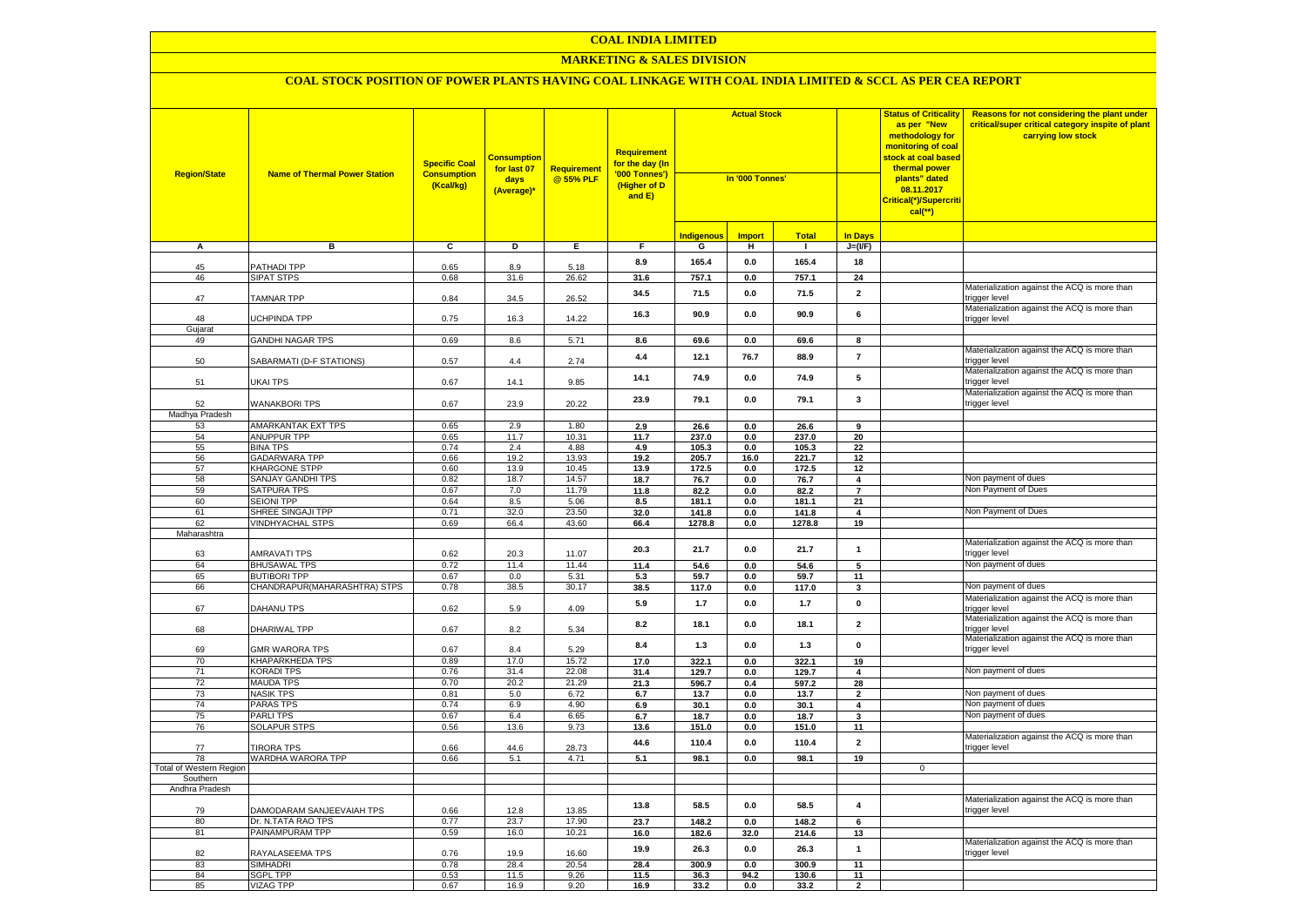## **MARKETING & SALES DIVISION**

| <b>Region/State</b>     | <b>Name of Thermal Power Station</b>   | <b>Specific Coal</b><br><b>Consumption</b><br>(Kcal/kg) | <mark>Consumption</mark><br>for last 07<br>days<br>(Average)* | <b>Requirement</b><br>@ 55% PLF | <b>Requirement</b><br>for the day (In<br>'000 Tonnes')<br>(Higher of D<br>and E) | <b>Actual Stock</b><br>In '000 Tonnes' |               |               |                          | <b>Status of Criticality</b><br>as per "New<br>methodology for<br>monitoring of coal<br><mark>stock at coal based</mark><br>thermal power<br>plants" dated<br>08.11.2017<br>Critical(*)/Supercriti<br>$cal$ (**) | Reasons for not considering the plant under<br>critical/super critical category inspite of plant<br>carrying low stock |
|-------------------------|----------------------------------------|---------------------------------------------------------|---------------------------------------------------------------|---------------------------------|----------------------------------------------------------------------------------|----------------------------------------|---------------|---------------|--------------------------|------------------------------------------------------------------------------------------------------------------------------------------------------------------------------------------------------------------|------------------------------------------------------------------------------------------------------------------------|
|                         |                                        |                                                         |                                                               |                                 |                                                                                  | <b>Indigenous</b>                      | <b>Import</b> | <b>Total</b>  | In Days                  |                                                                                                                                                                                                                  |                                                                                                                        |
| Α                       | в                                      | $\mathbf{c}$                                            | Þ                                                             | Ε                               | $\overline{F}$                                                                   | G                                      | н             | $\mathbf{L}$  | $J=(VF)$                 |                                                                                                                                                                                                                  |                                                                                                                        |
|                         |                                        |                                                         |                                                               |                                 | 8.9                                                                              | 165.4                                  | $0.0\,$       | 165.4         | 18                       |                                                                                                                                                                                                                  |                                                                                                                        |
| 45<br>46                | <b>ATHADI TPP</b><br><b>SIPAT STPS</b> | 0.65<br>0.68                                            | 8.9<br>31.6                                                   | 5.18<br>26.62                   | 31.6                                                                             | 757.1                                  | 0.0           | 757.1         | 24                       |                                                                                                                                                                                                                  |                                                                                                                        |
|                         |                                        |                                                         |                                                               |                                 |                                                                                  |                                        |               |               |                          |                                                                                                                                                                                                                  | Materialization against the ACQ is more than                                                                           |
| 47                      | <b>TAMNAR TPP</b>                      | 0.84                                                    | 34.5                                                          | 26.52                           | 34.5                                                                             | 71.5                                   | 0.0           | 71.5          | $\mathbf{2}$             |                                                                                                                                                                                                                  | trigger level                                                                                                          |
|                         |                                        |                                                         |                                                               |                                 | 16.3                                                                             | 90.9                                   | 0.0           | 90.9          | 6                        |                                                                                                                                                                                                                  | Materialization against the ACQ is more than                                                                           |
| 48                      | <b>JCHPINDA TPP</b>                    | 0.75                                                    | 16.3                                                          | 14.22                           |                                                                                  |                                        |               |               |                          |                                                                                                                                                                                                                  | trigger level                                                                                                          |
| Gujarat<br>49           | <b>GANDHI NAGAR TPS</b>                | 0.69                                                    | 8.6                                                           | 5.71                            |                                                                                  | 69.6                                   |               |               |                          |                                                                                                                                                                                                                  |                                                                                                                        |
|                         |                                        |                                                         |                                                               |                                 | 8.6                                                                              |                                        | 0.0           | 69.6          | 8                        |                                                                                                                                                                                                                  | Materialization against the ACQ is more than                                                                           |
| 50                      | SABARMATI (D-F STATIONS)               | 0.57                                                    | 4.4                                                           | 2.74                            | 4.4                                                                              | 12.1                                   | 76.7          | 88.9          | $\overline{\phantom{a}}$ |                                                                                                                                                                                                                  | trigger level                                                                                                          |
|                         |                                        |                                                         |                                                               |                                 |                                                                                  |                                        |               |               |                          |                                                                                                                                                                                                                  | Materialization against the ACQ is more than                                                                           |
| 51                      | <b>JKAI TPS</b>                        | 0.67                                                    | 14.1                                                          | 9.85                            | 14.1                                                                             | 74.9                                   | 0.0           | 74.9          | 5                        |                                                                                                                                                                                                                  | trigger level                                                                                                          |
|                         |                                        |                                                         |                                                               |                                 | 23.9                                                                             | 79.1                                   | 0.0           | 79.1          | $\mathbf 3$              |                                                                                                                                                                                                                  | Materialization against the ACQ is more than                                                                           |
| 52                      | <b>WANAKBORI TPS</b>                   | 0.67                                                    | 23.9                                                          | 20.22                           |                                                                                  |                                        |               |               |                          |                                                                                                                                                                                                                  | trigger level                                                                                                          |
| Madhya Pradesh          | AMARKANTAK EXT TPS                     | 0.65                                                    | 2.9                                                           | 1.80                            |                                                                                  |                                        |               |               |                          |                                                                                                                                                                                                                  |                                                                                                                        |
| 53<br>54                | ANUPPUR TPP                            | 0.65                                                    | 11.7                                                          | 10.31                           | 2.9<br>11.7                                                                      | 26.6<br>237.0                          | 0.0<br>0.0    | 26.6<br>237.0 | 9<br>20                  |                                                                                                                                                                                                                  |                                                                                                                        |
| 55                      | <b>BINA TPS</b>                        | 0.74                                                    | 2.4                                                           | 4.88                            | 4.9                                                                              | 105.3                                  | 0.0           | 105.3         | 22                       |                                                                                                                                                                                                                  |                                                                                                                        |
| 56                      | <b>GADARWARA TPP</b>                   | 0.66                                                    | 19.2                                                          | 13.93                           | 19.2                                                                             | 205.7                                  | 16.0          | 221.7         | 12                       |                                                                                                                                                                                                                  |                                                                                                                        |
| 57                      | KHARGONE STPP                          | 0.60                                                    | 13.9                                                          | 10.45                           | 13.9                                                                             | 172.5                                  | 0.0           | 172.5         | 12                       |                                                                                                                                                                                                                  |                                                                                                                        |
| 58                      | SANJAY GANDHI TPS                      | 0.82                                                    | 18.7                                                          | 14.57                           | 18.7                                                                             | 76.7                                   | 0.0           | 76.7          | 4                        |                                                                                                                                                                                                                  | Non payment of dues                                                                                                    |
| 59                      | <b>SATPURA TPS</b>                     | 0.67                                                    | 7.0                                                           | 11.79                           | 11.8                                                                             | 82.2                                   | $0.0\,$       | 82.2          | $\overline{7}$           |                                                                                                                                                                                                                  | Non Payment of Dues                                                                                                    |
| 60                      | <b>SEIONI TPP</b>                      | 0.64                                                    | 8.5                                                           | 5.06                            | 8.5                                                                              | 181.1                                  | $0.0\,$       | 181.1         | 21                       |                                                                                                                                                                                                                  |                                                                                                                        |
| 61                      | SHREE SINGAJI TPP                      | 0.71                                                    | 32.0                                                          | 23.50                           | 32.0                                                                             | 141.8                                  | 0.0           | 141.8         | 4                        |                                                                                                                                                                                                                  | Non Payment of Dues                                                                                                    |
| 62                      | <b>VINDHYACHAL STPS</b>                | 0.69                                                    | 66.4                                                          | 43.60                           | 66.4                                                                             | 1278.8                                 | 0.0           | 1278.8        | 19                       |                                                                                                                                                                                                                  |                                                                                                                        |
| Maharashtra             |                                        |                                                         |                                                               |                                 |                                                                                  |                                        |               |               |                          |                                                                                                                                                                                                                  | Materialization against the ACQ is more than                                                                           |
| 63                      | AMRAVATI TPS                           | 0.62                                                    | 20.3                                                          | 11.07                           | 20.3                                                                             | 21.7                                   | 0.0           | 21.7          | $\mathbf{1}$             |                                                                                                                                                                                                                  | trigger level                                                                                                          |
| 64                      | <b>BHUSAWAL TPS</b>                    | 0.72                                                    | 11.4                                                          | 11.44                           | 11.4                                                                             | 54.6                                   | 0.0           | 54.6          | 5                        |                                                                                                                                                                                                                  | Non payment of dues                                                                                                    |
| 65                      | <b>BUTIBORI TPP</b>                    | 0.67                                                    | 0.0                                                           | 5.31                            | 5.3                                                                              | 59.7                                   | 0.0           | 59.7          | 11                       |                                                                                                                                                                                                                  |                                                                                                                        |
| 66                      | CHANDRAPUR (MAHARASHTRA) STPS          | 0.78                                                    | 38.5                                                          | 30.17                           | 38.5                                                                             | 117.0                                  | 0.0           | 117.0         | 3                        |                                                                                                                                                                                                                  | Non payment of dues                                                                                                    |
|                         |                                        |                                                         |                                                               |                                 | 5.9                                                                              | 1.7                                    | 0.0           | 1.7           | $\mathbf 0$              |                                                                                                                                                                                                                  | Materialization against the ACQ is more than                                                                           |
| 67                      | DAHANU TPS                             | 0.62                                                    | 5.9                                                           | 4.09                            |                                                                                  |                                        |               |               |                          |                                                                                                                                                                                                                  | trigger level                                                                                                          |
| 68                      |                                        | 0.67                                                    | 8.2                                                           | 5.34                            | 8.2                                                                              | 18.1                                   | 0.0           | 18.1          | $\overline{2}$           |                                                                                                                                                                                                                  | Materialization against the ACQ is more than                                                                           |
|                         | DHARIWAL TPP                           |                                                         |                                                               |                                 |                                                                                  |                                        |               |               |                          |                                                                                                                                                                                                                  | trigger level<br>Materialization against the ACQ is more than                                                          |
| 69                      | <b>GMR WARORA TPS</b>                  | 0.67                                                    | 8.4                                                           | 5.29                            | 8.4                                                                              | 1.3                                    | 0.0           | 1.3           | $\mathbf 0$              |                                                                                                                                                                                                                  | trigger level                                                                                                          |
| 70                      | <b>KHAPARKHEDA TPS</b>                 | 0.89                                                    | 17.0                                                          | 15.72                           | 17.0                                                                             | 322.1                                  | 0.0           | 322.1         | 19                       |                                                                                                                                                                                                                  |                                                                                                                        |
| 71                      | <b>CORADI TPS</b>                      | 0.76                                                    | 31.4                                                          | 22.08                           | 31.4                                                                             | 129.7                                  | 0.0           | 129.7         | 4                        |                                                                                                                                                                                                                  | Non payment of dues                                                                                                    |
| 72                      | <b>MAUDA TPS</b>                       | 0.70                                                    | 20.2                                                          | 21.29                           | 21.3                                                                             | 596.7                                  | 0.4           | 597.2         | 28                       |                                                                                                                                                                                                                  |                                                                                                                        |
| 73                      | <b>NASIK TPS</b>                       | 0.81                                                    | 5.0                                                           | 6.72                            | 6.7                                                                              | 13.7                                   | 0.0           | 13.7          | $\overline{2}$           |                                                                                                                                                                                                                  | Non payment of dues                                                                                                    |
| 74                      | PARAS TPS                              | 0.74                                                    | 6.9                                                           | 4.90                            | 6.9                                                                              | 30.1                                   | 0.0           | 30.1          | 4                        |                                                                                                                                                                                                                  | Non payment of dues                                                                                                    |
| 75<br>76                | PARLI TPS                              | 0.67                                                    | 6.4<br>13.6                                                   | 6.65<br>9.73                    | 6.7                                                                              | 18.7<br>151.0                          | 0.0           | 18.7<br>151.0 | 3<br>11                  |                                                                                                                                                                                                                  | Non payment of dues                                                                                                    |
|                         | <b>SOLAPUR STPS</b>                    | 0.56                                                    |                                                               |                                 | 13.6                                                                             |                                        | 0.0           |               |                          |                                                                                                                                                                                                                  | Materialization against the ACQ is more than                                                                           |
| 77                      | <b>TIRORA TPS</b>                      | 0.66                                                    | 44.6                                                          | 28.73                           | 44.6                                                                             | 110.4                                  | 0.0           | 110.4         | $\overline{\mathbf{2}}$  |                                                                                                                                                                                                                  | trigger level                                                                                                          |
| 78                      | WARDHA WARORA TPP                      | 0.66                                                    | 5.1                                                           | 4.71                            | 5.1                                                                              | 98.1                                   | 0.0           | 98.1          | 19                       |                                                                                                                                                                                                                  |                                                                                                                        |
| Total of Western Region |                                        |                                                         |                                                               |                                 |                                                                                  |                                        |               |               |                          | $\mathbf 0$                                                                                                                                                                                                      |                                                                                                                        |
| Southern                |                                        |                                                         |                                                               |                                 |                                                                                  |                                        |               |               |                          |                                                                                                                                                                                                                  |                                                                                                                        |
| Andhra Pradesh          |                                        |                                                         |                                                               |                                 |                                                                                  |                                        |               |               |                          |                                                                                                                                                                                                                  | Materialization against the ACQ is more than                                                                           |
| 79                      | DAMODARAM SANJEEVAIAH TPS              | 0.66                                                    | 12.8                                                          | 13.85                           | 13.8                                                                             | 58.5                                   | 0.0           | 58.5          | 4                        |                                                                                                                                                                                                                  | trigger level                                                                                                          |
| 80                      | Dr. N.TATA RAO TPS                     | 0.77                                                    | 23.7                                                          | 17.90                           | 23.7                                                                             | 148.2                                  | 0.0           | 148.2         | 6                        |                                                                                                                                                                                                                  |                                                                                                                        |
| 81                      | PAINAMPURAM TPP                        | 0.59                                                    | 16.0                                                          | 10.21                           | 16.0                                                                             | 182.6                                  | 32.0          | 214.6         | 13                       |                                                                                                                                                                                                                  |                                                                                                                        |
|                         |                                        |                                                         |                                                               |                                 |                                                                                  |                                        |               |               |                          |                                                                                                                                                                                                                  | Materialization against the ACQ is more than                                                                           |
| 82                      | RAYALASEEMA TPS                        | 0.76                                                    | 19.9                                                          | 16.60                           | 19.9                                                                             | 26.3                                   | $0.0\,$       | 26.3          | $\mathbf 1$              |                                                                                                                                                                                                                  | trigger level                                                                                                          |
| 83                      | <b>SIMHADRI</b>                        | 0.78                                                    | 28.4                                                          | 20.54                           | 28.4                                                                             | 300.9                                  | 0.0           | 300.9         | 11                       |                                                                                                                                                                                                                  |                                                                                                                        |
| 84                      | SGPL TPP                               | 0.53                                                    | 11.5                                                          | 9.26                            | 11.5                                                                             | 36.3                                   | 94.2          | 130.6         | 11                       |                                                                                                                                                                                                                  |                                                                                                                        |
| 85                      | <b>VIZAG TPP</b>                       | 0.67                                                    | 16.9                                                          | 9.20                            | 16.9                                                                             | 33.2                                   | 0.0           | 33.2          | $\overline{\phantom{a}}$ |                                                                                                                                                                                                                  |                                                                                                                        |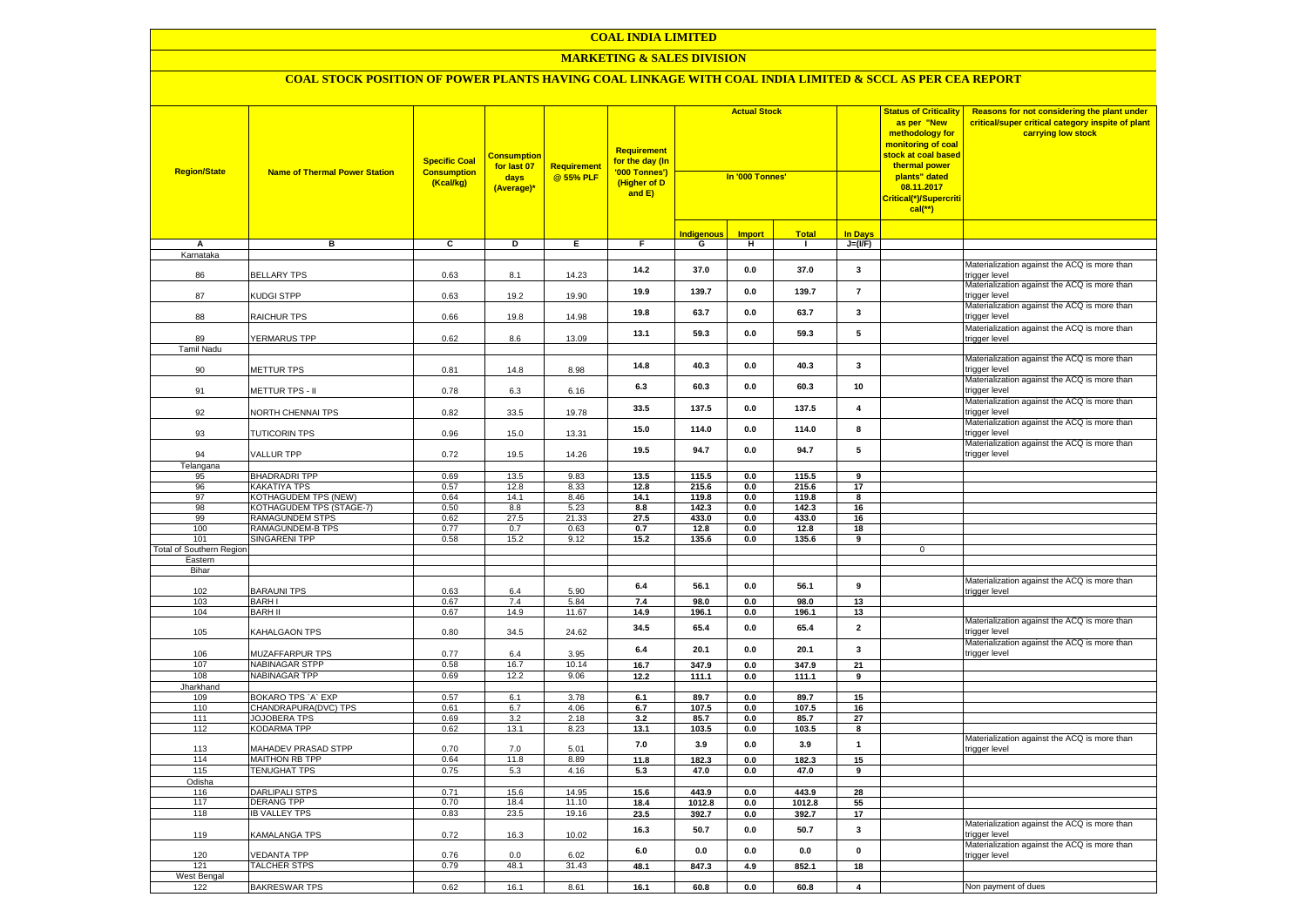# **MARKETING & SALES DIVISION**

| <b>Region/State</b>                        | <b>Name of Thermal Power Station</b>      | <b>Specific Coal</b><br><b>Consumption</b><br>(Kcal/kg) | <mark>Consumption</mark><br>for last 07<br>days<br>(Average)* | Requirement<br>@ 55% PLF | Requirement<br>for the day (In<br>'000 Tonnes')<br>(Higher of D<br>and E) | <b>Actual Stock</b><br>In '000 Tonnes' |                    |                 |                      | <b>Status of Criticality</b><br>as per "New<br>methodology for<br>monitoring of coal<br>stock at coal based<br>thermal power<br>plants" dated<br>08.11.2017<br>Critical(*)/Supercriti<br>$cal$ (**) | Reasons for not considering the plant under<br>critical/super critical category inspite of plant<br>carrying low stock |
|--------------------------------------------|-------------------------------------------|---------------------------------------------------------|---------------------------------------------------------------|--------------------------|---------------------------------------------------------------------------|----------------------------------------|--------------------|-----------------|----------------------|-----------------------------------------------------------------------------------------------------------------------------------------------------------------------------------------------------|------------------------------------------------------------------------------------------------------------------------|
|                                            |                                           |                                                         |                                                               |                          |                                                                           | <b>Indigenous</b>                      | <b>Import</b>      | <b>Total</b>    | <b>In Days</b>       |                                                                                                                                                                                                     |                                                                                                                        |
| Α<br>Karnataka                             | в                                         | C                                                       | D                                                             | Е.                       | F.                                                                        | G                                      | н                  | $\blacksquare$  | $J=(VF)$             |                                                                                                                                                                                                     |                                                                                                                        |
|                                            |                                           |                                                         |                                                               |                          |                                                                           |                                        |                    |                 |                      |                                                                                                                                                                                                     | Materialization against the ACQ is more than                                                                           |
| 86                                         | <b>BELLARY TPS</b>                        | 0.63                                                    | 8.1                                                           | 14.23                    | 14.2                                                                      | 37.0                                   | 0.0                | 37.0            | 3                    |                                                                                                                                                                                                     | rigger level                                                                                                           |
|                                            |                                           |                                                         |                                                               |                          | 19.9                                                                      | 139.7                                  | 0.0                | 139.7           | $\overline{7}$       |                                                                                                                                                                                                     | Materialization against the ACQ is more than                                                                           |
| 87                                         | KUDGI STPP                                | 0.63                                                    | 19.2                                                          | 19.90                    |                                                                           |                                        |                    |                 |                      |                                                                                                                                                                                                     | trigger level<br>Materialization against the ACQ is more than                                                          |
| 88                                         | RAICHUR TPS                               | 0.66                                                    | 19.8                                                          | 14.98                    | 19.8                                                                      | 63.7                                   | 0.0                | 63.7            | 3                    |                                                                                                                                                                                                     | rigger level                                                                                                           |
|                                            |                                           |                                                         |                                                               |                          |                                                                           |                                        |                    |                 |                      |                                                                                                                                                                                                     | Materialization against the ACQ is more than                                                                           |
| 89                                         | <b>/ERMARUS TPP</b>                       | 0.62                                                    | 8.6                                                           | 13.09                    | 13.1                                                                      | 59.3                                   | 0.0                | 59.3            | 5                    |                                                                                                                                                                                                     | trigger level                                                                                                          |
| <b>Tamil Nadu</b>                          |                                           |                                                         |                                                               |                          |                                                                           |                                        |                    |                 |                      |                                                                                                                                                                                                     |                                                                                                                        |
|                                            |                                           |                                                         |                                                               |                          | 14.8                                                                      | 40.3                                   | 0.0                | 40.3            | $\mathbf{3}$         |                                                                                                                                                                                                     | Materialization against the ACQ is more than                                                                           |
| 90                                         | METTUR TPS                                | 0.81                                                    | 14.8                                                          | 8.98                     |                                                                           |                                        |                    |                 |                      |                                                                                                                                                                                                     | rigger level<br>Materialization against the ACQ is more than                                                           |
| 91                                         | <b>METTUR TPS - II</b>                    | 0.78                                                    | 6.3                                                           | 6.16                     | 6.3                                                                       | 60.3                                   | 0.0                | 60.3            | 10                   |                                                                                                                                                                                                     | trigger level                                                                                                          |
|                                            |                                           |                                                         |                                                               |                          |                                                                           |                                        |                    |                 |                      |                                                                                                                                                                                                     | Materialization against the ACQ is more than                                                                           |
| 92                                         | NORTH CHENNAI TPS                         | 0.82                                                    | 33.5                                                          | 19.78                    | 33.5                                                                      | 137.5                                  | 0.0                | 137.5           | 4                    |                                                                                                                                                                                                     | rigger level                                                                                                           |
|                                            |                                           |                                                         |                                                               |                          | 15.0                                                                      | 114.0                                  | 0.0                | 114.0           | 8                    |                                                                                                                                                                                                     | Materialization against the ACQ is more than                                                                           |
| 93                                         | <b>TUTICORIN TPS</b>                      | 0.96                                                    | 15.0                                                          | 13.31                    |                                                                           |                                        |                    |                 |                      |                                                                                                                                                                                                     | rigger level<br>Materialization against the ACQ is more than                                                           |
| 94                                         | <b>VALLUR TPP</b>                         | 0.72                                                    | 19.5                                                          | 14.26                    | 19.5                                                                      | 94.7                                   | 0.0                | 94.7            | 5                    |                                                                                                                                                                                                     | rigger level                                                                                                           |
| Telangana                                  |                                           |                                                         |                                                               |                          |                                                                           |                                        |                    |                 |                      |                                                                                                                                                                                                     |                                                                                                                        |
| 95                                         | <b>BHADRADRI TPP</b>                      | 0.69                                                    | 13.5                                                          | 9.83                     | 13.5                                                                      | 115.5                                  | 0.0                | 115.5           | 9                    |                                                                                                                                                                                                     |                                                                                                                        |
| 96                                         | <b>KAKATIYA TPS</b>                       | 0.57                                                    | 12.8                                                          | 8.33                     | 12.8                                                                      | 215.6                                  | 0.0                | 215.6           | 17                   |                                                                                                                                                                                                     |                                                                                                                        |
| 97                                         | <b>KOTHAGUDEM TPS (NEW)</b>               | 0.64                                                    | 14.1                                                          | 8.46                     | 14.1                                                                      | 119.8                                  | 0.0                | 119.8           | 8                    |                                                                                                                                                                                                     |                                                                                                                        |
| 98                                         | KOTHAGUDEM TPS (STAGE-7)                  | 0.50                                                    | 8.8                                                           | 5.23                     | 8.8                                                                       | 142.3                                  | 0.0                | 142.3           | 16                   |                                                                                                                                                                                                     |                                                                                                                        |
| 99                                         | RAMAGUNDEM STPS                           | 0.62                                                    | 27.5                                                          | 21.33                    | 27.5                                                                      | 433.0                                  | 0.0                | 433.0           | 16                   |                                                                                                                                                                                                     |                                                                                                                        |
| 100                                        | RAMAGUNDEM-B TPS                          | 0.77                                                    | 0.7                                                           | 0.63                     | 0.7                                                                       | 12.8                                   | 0.0                | 12.8            | 18                   |                                                                                                                                                                                                     |                                                                                                                        |
| 101                                        | SINGARENI TPP                             | 0.58                                                    | 15.2                                                          | 9.12                     | 15.2                                                                      | 135.6                                  | 0.0                | 135.6           | 9                    | $\mathbf{0}$                                                                                                                                                                                        |                                                                                                                        |
| <b>Total of Southern Regior</b><br>Eastern |                                           |                                                         |                                                               |                          |                                                                           |                                        |                    |                 |                      |                                                                                                                                                                                                     |                                                                                                                        |
| Bihar                                      |                                           |                                                         |                                                               |                          |                                                                           |                                        |                    |                 |                      |                                                                                                                                                                                                     |                                                                                                                        |
|                                            |                                           |                                                         |                                                               |                          |                                                                           |                                        |                    |                 |                      |                                                                                                                                                                                                     | Materialization against the ACQ is more than                                                                           |
| 102                                        | <b>BARAUNI TPS</b>                        | 0.63                                                    | 6.4                                                           | 5.90                     | 6.4                                                                       | 56.1                                   | 0.0                | 56.1            | 9                    |                                                                                                                                                                                                     | rigger level                                                                                                           |
| 103                                        | <b>BARH I</b>                             | 0.67                                                    | 7.4                                                           | 5.84                     | 7.4                                                                       | 98.0                                   | 0.0                | 98.0            | 13                   |                                                                                                                                                                                                     |                                                                                                                        |
| 104                                        | <b>BARH II</b>                            | 0.67                                                    | 14.9                                                          | 11.67                    | 14.9                                                                      | 196.1                                  | 0.0                | 196.1           | 13                   |                                                                                                                                                                                                     |                                                                                                                        |
| 105                                        | KAHALGAON TPS                             | 0.80                                                    | 34.5                                                          | 24.62                    | 34.5                                                                      | 65.4                                   | 0.0                | 65.4            | $\overline{2}$       |                                                                                                                                                                                                     | Materialization against the ACQ is more than<br>rigger level                                                           |
|                                            |                                           |                                                         |                                                               |                          |                                                                           |                                        |                    |                 |                      |                                                                                                                                                                                                     | Materialization against the ACQ is more than                                                                           |
| 106                                        | MUZAFFARPUR TPS                           | 0.77                                                    | 6.4                                                           | 3.95                     | 6.4                                                                       | 20.1                                   | 0.0                | 20.1            | $\mathbf{3}$         |                                                                                                                                                                                                     | trigger level                                                                                                          |
| 107                                        | <b>NABINAGAR STPP</b>                     | 0.58                                                    | 16.7                                                          | 10.14                    | 16.7                                                                      | 347.9                                  | 0.0                | 347.9           | 21                   |                                                                                                                                                                                                     |                                                                                                                        |
| 108                                        | <b>NABINAGAR TPP</b>                      | 0.69                                                    | 12.2                                                          | 9.06                     | 12.2                                                                      | 111.1                                  | 0.0                | 111.1           | 9                    |                                                                                                                                                                                                     |                                                                                                                        |
| Jharkhand                                  |                                           |                                                         |                                                               |                          |                                                                           |                                        |                    |                 |                      |                                                                                                                                                                                                     |                                                                                                                        |
| 109                                        | BOKARO TPS `A` EXP                        | 0.57                                                    | 6.1                                                           | 3.78                     | 6.1                                                                       | 89.7                                   | 0.0                | 89.7            | 15                   |                                                                                                                                                                                                     |                                                                                                                        |
| 110                                        | CHANDRAPURA(DVC) TPS                      | 0.61                                                    | 6.7                                                           | 4.06                     | 6.7                                                                       | 107.5                                  | 0.0                | 107.5           | 16                   |                                                                                                                                                                                                     |                                                                                                                        |
| 111<br>112                                 | <b>JOJOBERA TPS</b><br><b>KODARMA TPP</b> | 0.69<br>0.62                                            | 3.2<br>13.1                                                   | 2.18<br>8.23             | 3.2<br>13.1                                                               | 85.7<br>103.5                          | 0.0<br>0.0         | 85.7<br>103.5   | $\overline{27}$<br>8 |                                                                                                                                                                                                     |                                                                                                                        |
|                                            |                                           |                                                         |                                                               |                          |                                                                           |                                        |                    |                 |                      |                                                                                                                                                                                                     | Materialization against the ACQ is more than                                                                           |
| 113                                        | MAHADEV PRASAD STPP                       | 0.70                                                    | 7.0                                                           | 5.01                     | 7.0                                                                       | 3.9                                    | 0.0                | 3.9             | $\mathbf{1}$         |                                                                                                                                                                                                     | rigger level                                                                                                           |
| 114                                        | MAITHON RB TPP                            | 0.64                                                    | 11.8                                                          | 8.89                     | 11.8                                                                      | 182.3                                  | 0.0                | 182.3           | 15                   |                                                                                                                                                                                                     |                                                                                                                        |
| 115                                        | <b>TENUGHAT TPS</b>                       | 0.75                                                    | 5.3                                                           | 4.16                     | 5.3                                                                       | 47.0                                   | 0.0                | 47.0            | 9                    |                                                                                                                                                                                                     |                                                                                                                        |
| Odisha                                     |                                           |                                                         |                                                               |                          |                                                                           |                                        |                    | 443.9           | 28                   |                                                                                                                                                                                                     |                                                                                                                        |
| 116<br>117                                 | DARLIPALI STPS<br><b>DERANG TPP</b>       | 0.71<br>0.70                                            | 15.6<br>18.4                                                  | 14.95<br>11.10           | 15.6                                                                      | 443.9                                  | 0.0                |                 |                      |                                                                                                                                                                                                     |                                                                                                                        |
| 118                                        | <b>IB VALLEY TPS</b>                      | 0.83                                                    | 23.5                                                          | 19.16                    | 18.4<br>23.5                                                              | 1012.8<br>392.7                        | $0.0\,$<br>$0.0\,$ | 1012.8<br>392.7 | 55<br>17             |                                                                                                                                                                                                     |                                                                                                                        |
|                                            |                                           |                                                         |                                                               |                          |                                                                           |                                        |                    |                 |                      |                                                                                                                                                                                                     | Materialization against the ACQ is more than                                                                           |
| 119                                        | KAMALANGA TPS                             | 0.72                                                    | 16.3                                                          | 10.02                    | 16.3                                                                      | 50.7                                   | 0.0                | 50.7            | $\mathbf 3$          |                                                                                                                                                                                                     | rigger level                                                                                                           |
|                                            |                                           |                                                         |                                                               |                          | 6.0                                                                       | 0.0                                    | 0.0                | 0.0             | $\mathbf{0}$         |                                                                                                                                                                                                     | Materialization against the ACQ is more than                                                                           |
| 120                                        | <b>EDANTA TPP</b>                         | 0.76                                                    | 0.0                                                           | 6.02                     |                                                                           |                                        |                    |                 |                      |                                                                                                                                                                                                     | rigger level                                                                                                           |
| 121<br>West Bengal                         | TALCHER STPS                              | 0.79                                                    | 48.1                                                          | 31.43                    | 48.1                                                                      | 847.3                                  | 4.9                | 852.1           | 18                   |                                                                                                                                                                                                     |                                                                                                                        |
| 122                                        | <b>BAKRESWAR TPS</b>                      | 0.62                                                    | 16.1                                                          | 8.61                     | 16.1                                                                      | 60.8                                   | 0.0                | 60.8            | $\overline{4}$       |                                                                                                                                                                                                     | Non payment of dues                                                                                                    |
|                                            |                                           |                                                         |                                                               |                          |                                                                           |                                        |                    |                 |                      |                                                                                                                                                                                                     |                                                                                                                        |